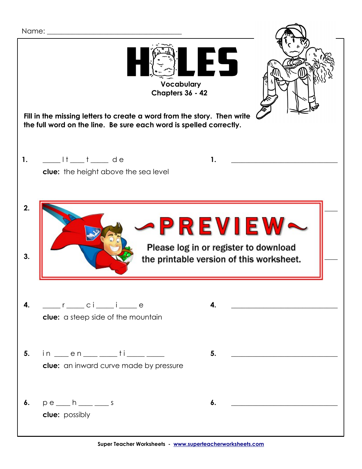